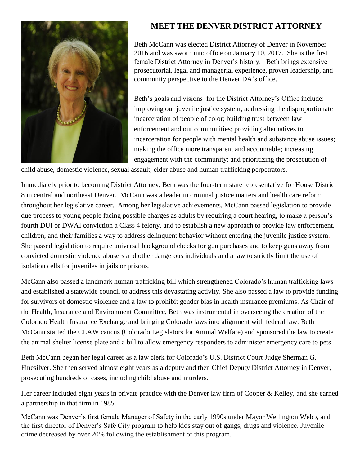

## **MEET THE DENVER DISTRICT ATTORNEY**

Beth McCann was elected District Attorney of Denver in November 2016 and was sworn into office on January 10, 2017. She is the first female District Attorney in Denver's history. Beth brings extensive prosecutorial, legal and managerial experience, proven leadership, and community perspective to the Denver DA's office.

Beth's goals and visions for the District Attorney's Office include: improving our juvenile justice system; addressing the disproportionate incarceration of people of color; building trust between law enforcement and our communities; providing alternatives to incarceration for people with mental health and substance abuse issues; making the office more transparent and accountable; increasing engagement with the community; and prioritizing the prosecution of

child abuse, domestic violence, sexual assault, elder abuse and human trafficking perpetrators.

Immediately prior to becoming District Attorney, Beth was the four-term state representative for House District 8 in central and northeast Denver. McCann was a leader in criminal justice matters and health care reform throughout her legislative career. Among her legislative achievements, McCann passed legislation to provide due process to young people facing possible charges as adults by requiring a court hearing, to make a person's fourth DUI or DWAI conviction a Class 4 felony, and to establish a new approach to provide law enforcement, children, and their families a way to address delinquent behavior without entering the juvenile justice system. She passed legislation to require universal background checks for gun purchases and to keep guns away from convicted domestic violence abusers and other dangerous individuals and a law to strictly limit the use of isolation cells for juveniles in jails or prisons.

McCann also passed a landmark human trafficking bill which strengthened Colorado's human trafficking laws and established a statewide council to address this devastating activity. She also passed a law to provide funding for survivors of domestic violence and a law to prohibit gender bias in health insurance premiums. As Chair of the Health, Insurance and Environment Committee, Beth was instrumental in overseeing the creation of the Colorado Health Insurance Exchange and bringing Colorado laws into alignment with federal law. Beth McCann started the CLAW caucus (Colorado Legislators for Animal Welfare) and sponsored the law to create the animal shelter license plate and a bill to allow emergency responders to administer emergency care to pets.

Beth McCann began her legal career as a law clerk for Colorado's U.S. District Court Judge Sherman G. Finesilver. She then served almost eight years as a deputy and then Chief Deputy District Attorney in Denver, prosecuting hundreds of cases, including child abuse and murders.

Her career included eight years in private practice with the Denver law firm of Cooper & Kelley, and she earned a partnership in that firm in 1985.

McCann was Denver's first female Manager of Safety in the early 1990s under Mayor Wellington Webb, and the first director of Denver's Safe City program to help kids stay out of gangs, drugs and violence. Juvenile crime decreased by over 20% following the establishment of this program.